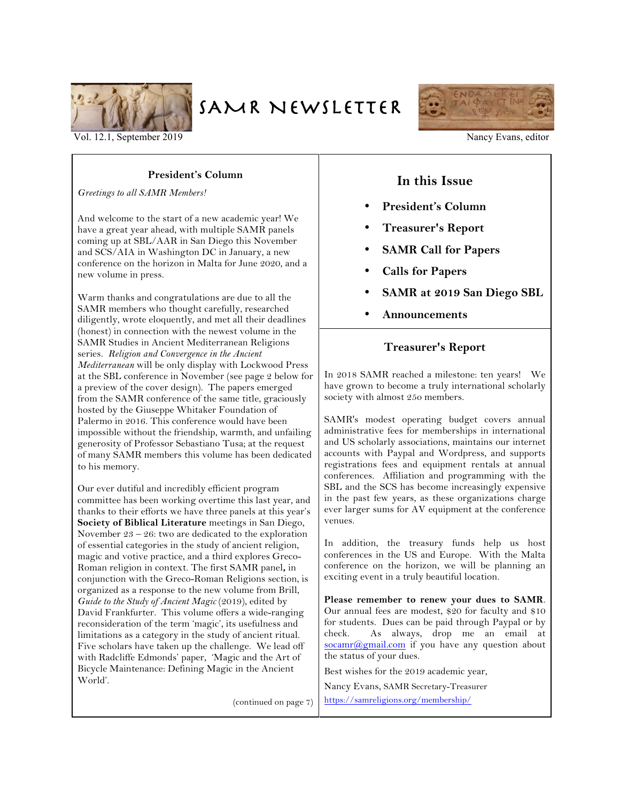

# SAMR NEWSLETTER



Vol. 12.1, September 2019 Nancy Evans, editor

## **President's Column**

*Greetings to all SAMR Members!* 

And welcome to the start of a new academic year! We have a great year ahead, with multiple SAMR panels coming up at SBL/AAR in San Diego this November and SCS/AIA in Washington DC in January, a new conference on the horizon in Malta for June 2020, and a new volume in press.

Warm thanks and congratulations are due to all the SAMR members who thought carefully, researched diligently, wrote eloquently, and met all their deadlines (honest) in connection with the newest volume in the SAMR Studies in Ancient Mediterranean Religions series. *Religion and Convergence in the Ancient Mediterranean* will be only display with Lockwood Press at the SBL conference in November (see page 2 below for a preview of the cover design). The papers emerged from the SAMR conference of the same title, graciously hosted by the Giuseppe Whitaker Foundation of Palermo in 2016. This conference would have been impossible without the friendship, warmth, and unfailing generosity of Professor Sebastiano Tusa; at the request of many SAMR members this volume has been dedicated to his memory.

Our ever dutiful and incredibly efficient program committee has been working overtime this last year, and thanks to their efforts we have three panels at this year's **Society of Biblical Literature** meetings in San Diego, November 23 – 26: two are dedicated to the exploration of essential categories in the study of ancient religion, magic and votive practice, and a third explores Greco-Roman religion in context. The first SAMR panel**,** in conjunction with the Greco-Roman Religions section, is organized as a response to the new volume from Brill, Guide to the Study of Ancient Magic (2019), edited by David Frankfurter. This volume offers a wide-ranging reconsideration of the term 'magic', its usefulness and limitations as a category in the study of ancient ritual. Five scholars have taken up the challenge. We lead off with Radcliffe Edmonds' paper, 'Magic and the Art of Bicycle Maintenance: Defining Magic in the Ancient World'.

(continued on page 7)

## **In this Issue**

- **President's Column**
- **Treasurer's Report**
- **SAMR Call for Papers**
- **Calls for Papers**
- **SAMR at 2019 San Diego SBL**
- **Announcements**

## **Treasurer's Report**

In 2018 SAMR reached a milestone: ten years! We have grown to become a truly international scholarly society with almost 25o members.

SAMR's modest operating budget covers annual administrative fees for memberships in international and US scholarly associations, maintains our internet accounts with Paypal and Wordpress, and supports registrations fees and equipment rentals at annual conferences. Affiliation and programming with the SBL and the SCS has become increasingly expensive in the past few years, as these organizations charge ever larger sums for AV equipment at the conference venues.

In addition, the treasury funds help us host conferences in the US and Europe. With the Malta conference on the horizon, we will be planning an exciting event in a truly beautiful location.

**Please remember to renew your dues to SAMR**. Our annual fees are modest, \$20 for faculty and \$10 for students. Dues can be paid through Paypal or by check. As always, drop me an email at  $\frac{\text{socamr}(\mathcal{Q})}{\text{gmail.com}}$  if you have any question about the status of your dues.

Best wishes for the 2019 academic year,

Nancy Evans, SAMR Secretary-Treasurer https://samreligions.org/membership/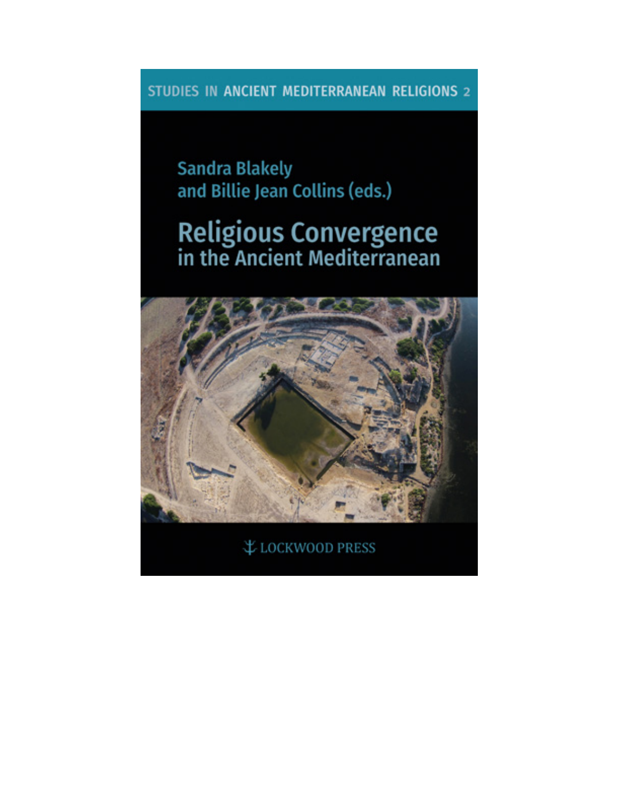STUDIES IN ANCIENT MEDITERRANEAN RELIGIONS 2

**Sandra Blakely** and Billie Jean Collins (eds.)

# **Religious Convergence**<br>in the Ancient Mediterranean



₹ LOCKWOOD PRESS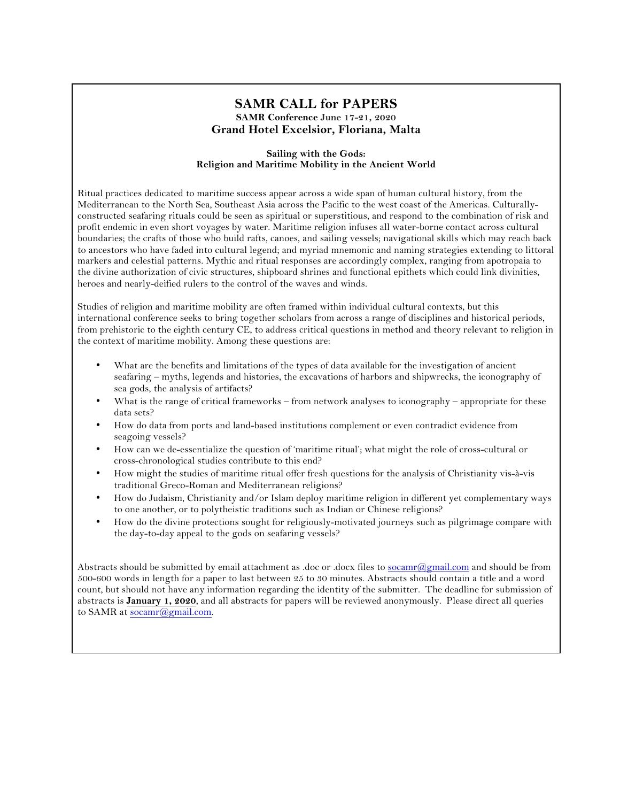## **SAMR CALL for PAPERS SAMR Conference June 17-21, 2020 Grand Hotel Excelsior, Floriana, Malta**

#### **Sailing with the Gods: Religion and Maritime Mobility in the Ancient World**

Ritual practices dedicated to maritime success appear across a wide span of human cultural history, from the Mediterranean to the North Sea, Southeast Asia across the Pacific to the west coast of the Americas. Culturallyconstructed seafaring rituals could be seen as spiritual or superstitious, and respond to the combination of risk and profit endemic in even short voyages by water. Maritime religion infuses all water-borne contact across cultural boundaries; the crafts of those who build rafts, canoes, and sailing vessels; navigational skills which may reach back to ancestors who have faded into cultural legend; and myriad mnemonic and naming strategies extending to littoral markers and celestial patterns. Mythic and ritual responses are accordingly complex, ranging from apotropaia to the divine authorization of civic structures, shipboard shrines and functional epithets which could link divinities, heroes and nearly-deified rulers to the control of the waves and winds.

Studies of religion and maritime mobility are often framed within individual cultural contexts, but this international conference seeks to bring together scholars from across a range of disciplines and historical periods, from prehistoric to the eighth century CE, to address critical questions in method and theory relevant to religion in the context of maritime mobility. Among these questions are:

- What are the benefits and limitations of the types of data available for the investigation of ancient seafaring – myths, legends and histories, the excavations of harbors and shipwrecks, the iconography of sea gods, the analysis of artifacts?
- What is the range of critical frameworks from network analyses to iconography appropriate for these data sets?
- How do data from ports and land-based institutions complement or even contradict evidence from seagoing vessels?
- How can we de-essentialize the question of 'maritime ritual'; what might the role of cross-cultural or cross-chronological studies contribute to this end?
- How might the studies of maritime ritual offer fresh questions for the analysis of Christianity vis-à-vis traditional Greco-Roman and Mediterranean religions?
- How do Judaism, Christianity and/or Islam deploy maritime religion in different yet complementary ways to one another, or to polytheistic traditions such as Indian or Chinese religions?
- How do the divine protections sought for religiously-motivated journeys such as pilgrimage compare with the day-to-day appeal to the gods on seafaring vessels?

Abstracts should be submitted by email attachment as .doc or .docx files to socamr@gmail.com and should be from 500-600 words in length for a paper to last between 25 to 30 minutes. Abstracts should contain a title and a word count, but should not have any information regarding the identity of the submitter. The deadline for submission of abstracts is **January 1, 2020**, and all abstracts for papers will be reviewed anonymously. Please direct all queries to SAMR at socamr@gmail.com.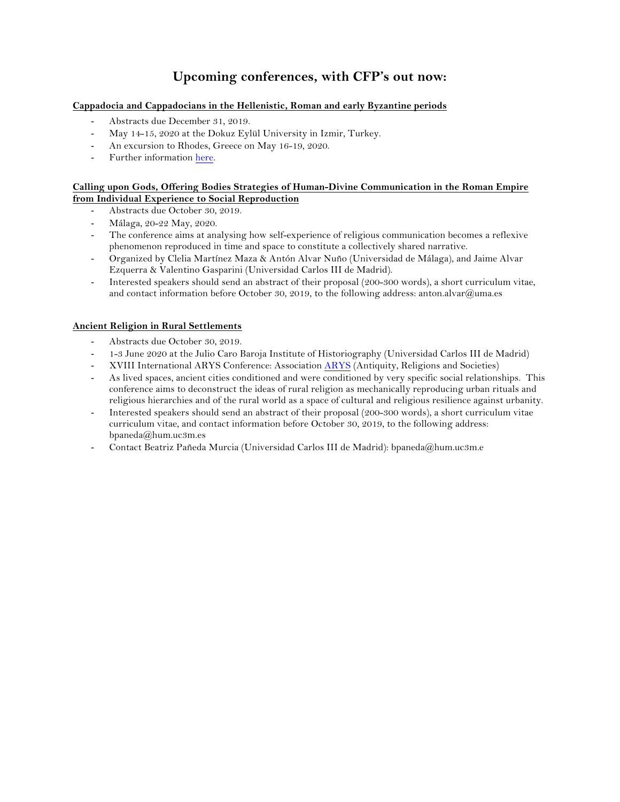# **Upcoming conferences, with CFP's out now:**

#### **Cappadocia and Cappadocians in the Hellenistic, Roman and early Byzantine periods**

- Abstracts due December 31, 2019.
- May 14-15, 2020 at the Dokuz Eylül University in Izmir, Turkey.
- An excursion to Rhodes, Greece on May 16-19, 2020.
- Further information here.

#### **Calling upon Gods, Offering Bodies Strategies of Human-Divine Communication in the Roman Empire from Individual Experience to Social Reproduction**

- Abstracts due October 30, 2019.
- Málaga, 20-22 May, 2020.
- The conference aims at analysing how self-experience of religious communication becomes a reflexive phenomenon reproduced in time and space to constitute a collectively shared narrative.
- Organized by Clelia Martínez Maza & Antón Alvar Nuño (Universidad de Málaga), and Jaime Alvar Ezquerra & Valentino Gasparini (Universidad Carlos III de Madrid).
- Interested speakers should send an abstract of their proposal (200-300 words), a short curriculum vitae, and contact information before October 30, 2019, to the following address: anton.alvar@uma.es

#### **Ancient Religion in Rural Settlements**

- Abstracts due October 30, 2019.
- 1-3 June 2020 at the Julio Caro Baroja Institute of Historiography (Universidad Carlos III de Madrid)
- XVIII International ARYS Conference: Association ARYS (Antiquity, Religions and Societies)
- As lived spaces, ancient cities conditioned and were conditioned by very specific social relationships. This conference aims to deconstruct the ideas of rural religion as mechanically reproducing urban rituals and religious hierarchies and of the rural world as a space of cultural and religious resilience against urbanity.
- Interested speakers should send an abstract of their proposal (200-300 words), a short curriculum vitae curriculum vitae, and contact information before October 30, 2019, to the following address: bpaneda@hum.uc3m.es
- Contact Beatriz Pañeda Murcia (Universidad Carlos III de Madrid): bpaneda@hum.uc3m.e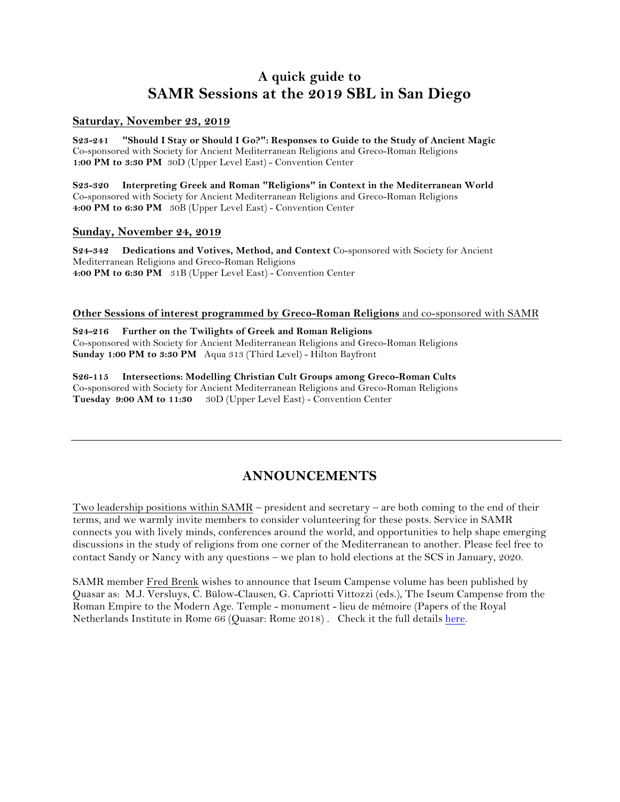# **A quick guide to SAMR Sessions at the 2019 SBL in San Diego**

#### **Saturday, November 23, 2019**

**S23-241 "Should I Stay or Should I Go?": Responses to Guide to the Study of Ancient Magic** Co-sponsored with Society for Ancient Mediterranean Religions and Greco-Roman Religions **1:00 PM to 3:30 PM** 30D (Upper Level East) - Convention Center

**S23-320 Interpreting Greek and Roman "Religions" in Context in the Mediterranean World** Co-sponsored with Society for Ancient Mediterranean Religions and Greco-Roman Religions **4:00 PM to 6:30 PM** 30B (Upper Level East) - Convention Center

### **Sunday, November 24, 2019**

**S24-342 Dedications and Votives, Method, and Context** Co-sponsored with Society for Ancient Mediterranean Religions and Greco-Roman Religions **4:00 PM to 6:30 PM** 31B (Upper Level East) - Convention Center

#### **Other Sessions of interest programmed by Greco-Roman Religions** and co-sponsored with SAMR

**S24-216 Further on the Twilights of Greek and Roman Religions** Co-sponsored with Society for Ancient Mediterranean Religions and Greco-Roman Religions **Sunday 1:00 PM to 3:30 PM** Aqua 313 (Third Level) - Hilton Bayfront

**S26-115 Intersections: Modelling Christian Cult Groups among Greco-Roman Cults** Co-sponsored with Society for Ancient Mediterranean Religions and Greco-Roman Religions **Tuesday 9:00 AM to 11:30** 30D (Upper Level East) - Convention Center

# **ANNOUNCEMENTS**

Two leadership positions within SAMR – president and secretary – are both coming to the end of their terms, and we warmly invite members to consider volunteering for these posts. Service in SAMR connects you with lively minds, conferences around the world, and opportunities to help shape emerging discussions in the study of religions from one corner of the Mediterranean to another. Please feel free to contact Sandy or Nancy with any questions – we plan to hold elections at the SCS in January, 2020.

SAMR member Fred Brenk wishes to announce that Iseum Campense volume has been published by Quasar as: M.J. Versluys, C. Bülow-Clausen, G. Capriotti Vittozzi (eds.), The Iseum Campense from the Roman Empire to the Modern Age. Temple - monument - lieu de mémoire (Papers of the Royal Netherlands Institute in Rome 66 (Quasar: Rome 2018) . Check it the full details here.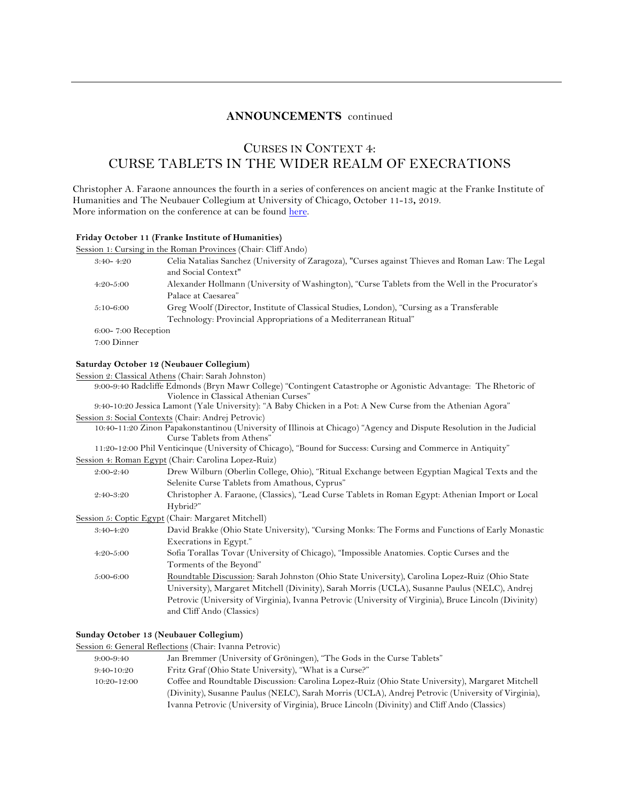#### **ANNOUNCEMENTS** continued

## CURSES IN CONTEXT 4: CURSE TABLETS IN THE WIDER REALM OF EXECRATIONS

Christopher A. Faraone announces the fourth in a series of conferences on ancient magic at the Franke Institute of Humanities and The Neubauer Collegium at University of Chicago, October 11-13**,** 2019. More information on the conference at can be found here.

#### **Friday October 11 (Franke Institute of Humanities)**

|  | Session 1: Cursing in the Roman Provinces (Chair: Cliff Ando) |  |
|--|---------------------------------------------------------------|--|
|  |                                                               |  |

| Celia Natalias Sanchez (University of Zaragoza), "Curses against Thieves and Roman Law: The Legal |
|---------------------------------------------------------------------------------------------------|
|                                                                                                   |
| Alexander Hollmann (University of Washington), "Curse Tablets from the Well in the Procurator's   |
|                                                                                                   |
| Greg Woolf (Director, Institute of Classical Studies, London), "Cursing as a Transferable         |
| Technology: Provincial Appropriations of a Mediterranean Ritual"                                  |
|                                                                                                   |
|                                                                                                   |
|                                                                                                   |

#### **Saturday October 12 (Neubauer Collegium)**

Session 2: Classical Athens (Chair: Sarah Johnston)

9:00-9:40 Radcliffe Edmonds (Bryn Mawr College) "Contingent Catastrophe or Agonistic Advantage: The Rhetoric of Violence in Classical Athenian Curses"

9:40-10:20 Jessica Lamont (Yale University): "A Baby Chicken in a Pot: A New Curse from the Athenian Agora" Session 3: Social Contexts (Chair: Andrej Petrovic)

10:40-11:20 Zinon Papakonstantinou (University of Illinois at Chicago) "Agency and Dispute Resolution in the Judicial Curse Tablets from Athens"

| 11:20-12:00 Phil Venticinque (University of Chicago), "Bound for Success: Cursing and Commerce in Antiquity" |  |  |
|--------------------------------------------------------------------------------------------------------------|--|--|
|                                                                                                              |  |  |

| Session 4: Roman Egypt (Chair: Carolina Lopez-Ruiz) |  |  |  |  |
|-----------------------------------------------------|--|--|--|--|
|-----------------------------------------------------|--|--|--|--|

| $2:00-2:40$   | Drew Wilburn (Oberlin College, Ohio), "Ritual Exchange between Egyptian Magical Texts and the         |
|---------------|-------------------------------------------------------------------------------------------------------|
|               | Selenite Curse Tablets from Amathous, Cyprus"                                                         |
| $2:40-3:20$   | Christopher A. Faraone, (Classics), "Lead Curse Tablets in Roman Egypt: Athenian Import or Local      |
|               | Hybrid?"                                                                                              |
|               | Session 5: Coptic Egypt (Chair: Margaret Mitchell)                                                    |
| 3:40-4:20     | David Brakke (Ohio State University), "Cursing Monks: The Forms and Functions of Early Monastic       |
|               | Execrations in Egypt."                                                                                |
| $4:20-5:00$   | Sofia Torallas Tovar (University of Chicago), "Impossible Anatomies. Coptic Curses and the            |
|               | Torments of the Beyond"                                                                               |
| $5:00 - 6:00$ | Roundtable Discussion: Sarah Johnston (Ohio State University), Carolina Lopez-Ruiz (Ohio State        |
|               | University), Margaret Mitchell (Divinity), Sarah Morris (UCLA), Susanne Paulus (NELC), Andrej         |
|               | Petrovic (University of Virginia), Ivanna Petrovic (University of Virginia), Bruce Lincoln (Divinity) |
|               | and Cliff Ando (Classics)                                                                             |

#### **Sunday October 13 (Neubauer Collegium)**

#### Session 6: General Reflections (Chair: Ivanna Petrovic)

| 9:00-9:40       | Jan Bremmer (University of Gröningen), "The Gods in the Curse Tablets"                            |
|-----------------|---------------------------------------------------------------------------------------------------|
| $9:40-10:20$    | Fritz Graf (Ohio State University), "What is a Curse?"                                            |
| $10:20 - 12:00$ | Coffee and Roundtable Discussion: Carolina Lopez-Ruiz (Ohio State University), Margaret Mitchell  |
|                 | (Divinity), Susanne Paulus (NELC), Sarah Morris (UCLA), Andrej Petrovic (University of Virginia), |
|                 | Ivanna Petrovic (University of Virginia), Bruce Lincoln (Divinity) and Cliff Ando (Classics)      |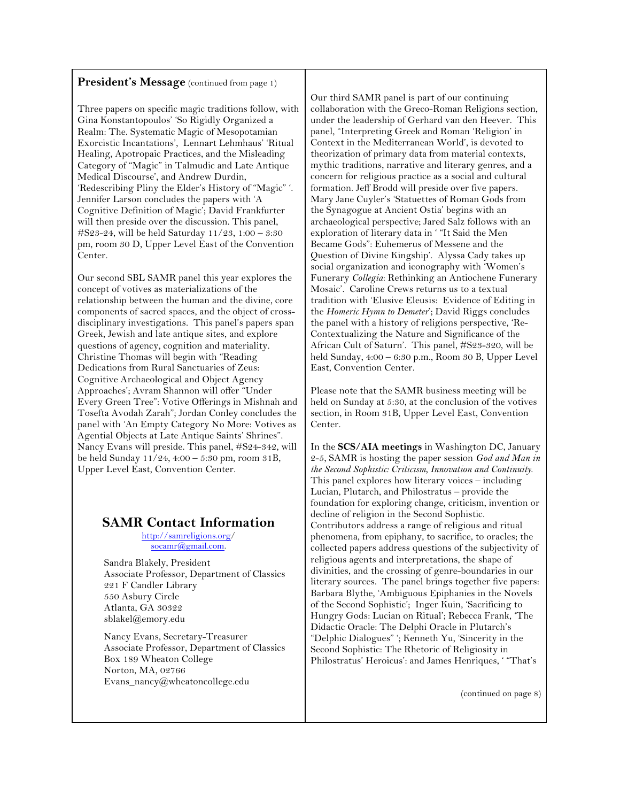#### President's Message (continued from page 1)

Three papers on specific magic traditions follow, with Gina Konstantopoulos' 'So Rigidly Organized a Realm: The. Systematic Magic of Mesopotamian Exorcistic Incantations', Lennart Lehmhaus' 'Ritual Healing, Apotropaic Practices, and the Misleading Category of "Magic" in Talmudic and Late Antique Medical Discourse', and Andrew Durdin, 'Redescribing Pliny the Elder's History of "Magic" '. Jennifer Larson concludes the papers with 'A Cognitive Definition of Magic'; David Frankfurter will then preside over the discussion. This panel, #S23-24, will be held Saturday 11/23, 1:00 – 3:30 pm, room 30 D, Upper Level East of the Convention Center.

Our second SBL SAMR panel this year explores the concept of votives as materializations of the relationship between the human and the divine, core components of sacred spaces, and the object of crossdisciplinary investigations. This panel's papers span Greek, Jewish and late antique sites, and explore questions of agency, cognition and materiality. Christine Thomas will begin with "Reading Dedications from Rural Sanctuaries of Zeus: Cognitive Archaeological and Object Agency Approaches'; Avram Shannon will offer "Under Every Green Tree": Votive Offerings in Mishnah and Tosefta Avodah Zarah"; Jordan Conley concludes the panel with 'An Empty Category No More: Votives as Agential Objects at Late Antique Saints' Shrines". Nancy Evans will preside. This panel, #S24-342, will be held Sunday 11/24, 4:00 – 5:30 pm, room 31B, Upper Level East, Convention Center.

## **SAMR Contact Information**

http://samreligions.org/ socamr@gmail.com.

Sandra Blakely, President Associate Professor, Department of Classics 221 F Candler Library 550 Asbury Circle Atlanta, GA 30322 sblakel@emory.edu

Nancy Evans, Secretary-Treasurer Associate Professor, Department of Classics Box 189 Wheaton College Norton, MA, 02766 Evans\_nancy@wheatoncollege.edu

Our third SAMR panel is part of our continuing collaboration with the Greco-Roman Religions section, under the leadership of Gerhard van den Heever. This panel, "Interpreting Greek and Roman 'Religion' in Context in the Mediterranean World', is devoted to theorization of primary data from material contexts, mythic traditions, narrative and literary genres, and a concern for religious practice as a social and cultural formation. Jeff Brodd will preside over five papers. Mary Jane Cuyler's 'Statuettes of Roman Gods from the Synagogue at Ancient Ostia' begins with an archaeological perspective; Jared Salz follows with an exploration of literary data in ' "It Said the Men Became Gods": Euhemerus of Messene and the Question of Divine Kingship'. Alyssa Cady takes up social organization and iconography with 'Women's Funerary *Collegia*: Rethinking an Antiochene Funerary Mosaic'. Caroline Crews returns us to a textual tradition with 'Elusive Eleusis: Evidence of Editing in the *Homeric Hymn to Demeter*'; David Riggs concludes the panel with a history of religions perspective, 'Re-Contextualizing the Nature and Significance of the African Cult of Saturn'. This panel, #S23-320, will be held Sunday, 4:00 – 6:30 p.m., Room 30 B, Upper Level East, Convention Center.

Please note that the SAMR business meeting will be held on Sunday at 5:30, at the conclusion of the votives section, in Room 31B, Upper Level East, Convention Center.

In the **SCS/AIA meetings** in Washington DC, January 2-5, SAMR is hosting the paper session *God and Man in the Second Sophistic: Criticism, Innovation and Continuity*. This panel explores how literary voices – including Lucian, Plutarch, and Philostratus – provide the foundation for exploring change, criticism, invention or decline of religion in the Second Sophistic. Contributors address a range of religious and ritual phenomena, from epiphany, to sacrifice, to oracles; the collected papers address questions of the subjectivity of religious agents and interpretations, the shape of divinities, and the crossing of genre-boundaries in our literary sources. The panel brings together five papers: Barbara Blythe, 'Ambiguous Epiphanies in the Novels of the Second Sophistic'; Inger Kuin, 'Sacrificing to Hungry Gods: Lucian on Ritual'; Rebecca Frank, 'The Didactic Oracle: The Delphi Oracle in Plutarch's "Delphic Dialogues" '; Kenneth Yu, 'Sincerity in the Second Sophistic: The Rhetoric of Religiosity in Philostratus' Heroicus': and James Henriques, ' "That's

(continued on page 8)